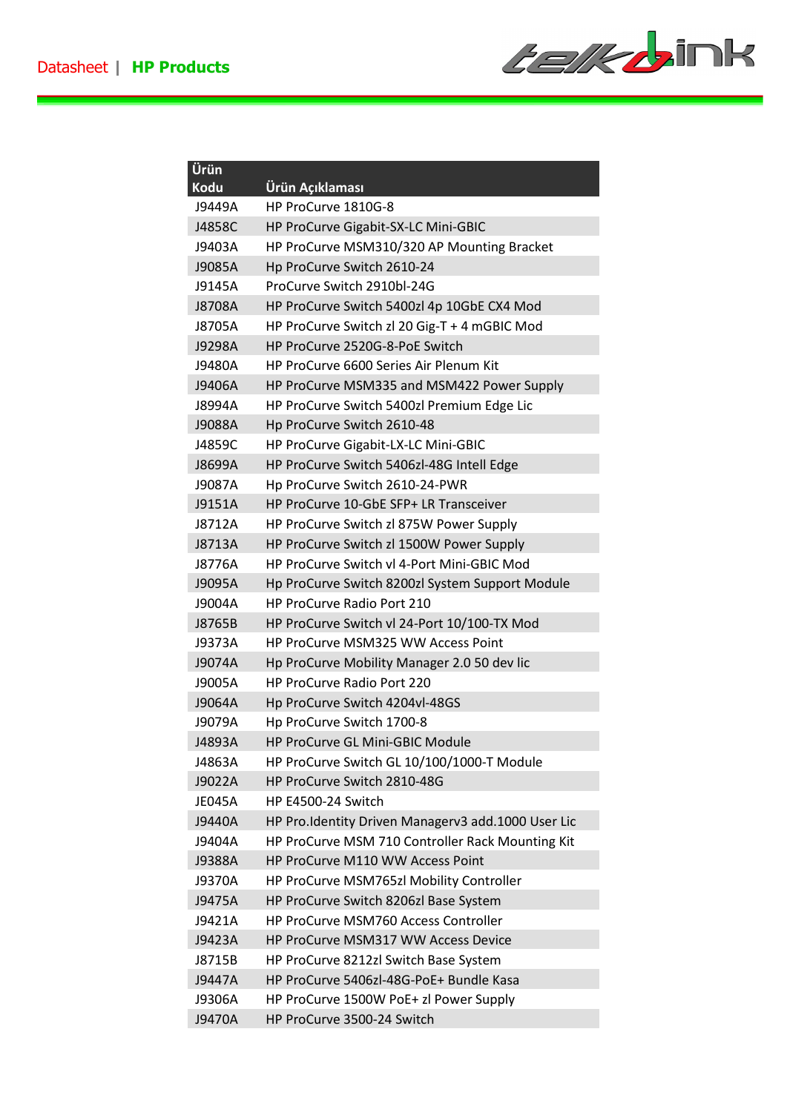

| Ürün          |                                                    |
|---------------|----------------------------------------------------|
| Kodu          | Ürün Açıklaması                                    |
| J9449A        | HP ProCurve 1810G-8                                |
| J4858C        | HP ProCurve Gigabit-SX-LC Mini-GBIC                |
| J9403A        | HP ProCurve MSM310/320 AP Mounting Bracket         |
| J9085A        | Hp ProCurve Switch 2610-24                         |
| J9145A        | ProCurve Switch 2910bl-24G                         |
| J8708A        | HP ProCurve Switch 5400zl 4p 10GbE CX4 Mod         |
| J8705A        | HP ProCurve Switch zl 20 Gig-T + 4 mGBIC Mod       |
| J9298A        | HP ProCurve 2520G-8-PoE Switch                     |
| J9480A        | HP ProCurve 6600 Series Air Plenum Kit             |
| J9406A        | HP ProCurve MSM335 and MSM422 Power Supply         |
| J8994A        | HP ProCurve Switch 5400zl Premium Edge Lic         |
| J9088A        | Hp ProCurve Switch 2610-48                         |
| J4859C        | HP ProCurve Gigabit-LX-LC Mini-GBIC                |
| J8699A        | HP ProCurve Switch 5406zl-48G Intell Edge          |
| J9087A        | Hp ProCurve Switch 2610-24-PWR                     |
| J9151A        | HP ProCurve 10-GbE SFP+ LR Transceiver             |
| J8712A        | HP ProCurve Switch zl 875W Power Supply            |
| J8713A        | HP ProCurve Switch zl 1500W Power Supply           |
| J8776A        | HP ProCurve Switch vl 4-Port Mini-GBIC Mod         |
| J9095A        | Hp ProCurve Switch 8200zl System Support Module    |
| J9004A        | <b>HP ProCurve Radio Port 210</b>                  |
| J8765B        | HP ProCurve Switch vl 24-Port 10/100-TX Mod        |
| J9373A        | HP ProCurve MSM325 WW Access Point                 |
| J9074A        | Hp ProCurve Mobility Manager 2.0 50 dev lic        |
| J9005A        | <b>HP ProCurve Radio Port 220</b>                  |
| J9064A        | Hp ProCurve Switch 4204vl-48GS                     |
| J9079A        | Hp ProCurve Switch 1700-8                          |
| J4893A        | HP ProCurve GL Mini-GBIC Module                    |
| J4863A        | HP ProCurve Switch GL 10/100/1000-T Module         |
| J9022A        | HP ProCurve Switch 2810-48G                        |
| <b>JE045A</b> | HP E4500-24 Switch                                 |
| J9440A        | HP Pro.Identity Driven Managerv3 add.1000 User Lic |
| J9404A        | HP ProCurve MSM 710 Controller Rack Mounting Kit   |
| J9388A        | HP ProCurve M110 WW Access Point                   |
| J9370A        | HP ProCurve MSM765zl Mobility Controller           |
| J9475A        | HP ProCurve Switch 8206zl Base System              |
| J9421A        | HP ProCurve MSM760 Access Controller               |
| J9423A        | HP ProCurve MSM317 WW Access Device                |
| J8715B        | HP ProCurve 8212zl Switch Base System              |
| J9447A        | HP ProCurve 5406zl-48G-PoE+ Bundle Kasa            |
| J9306A        | HP ProCurve 1500W PoE+ zl Power Supply             |
| J9470A        | HP ProCurve 3500-24 Switch                         |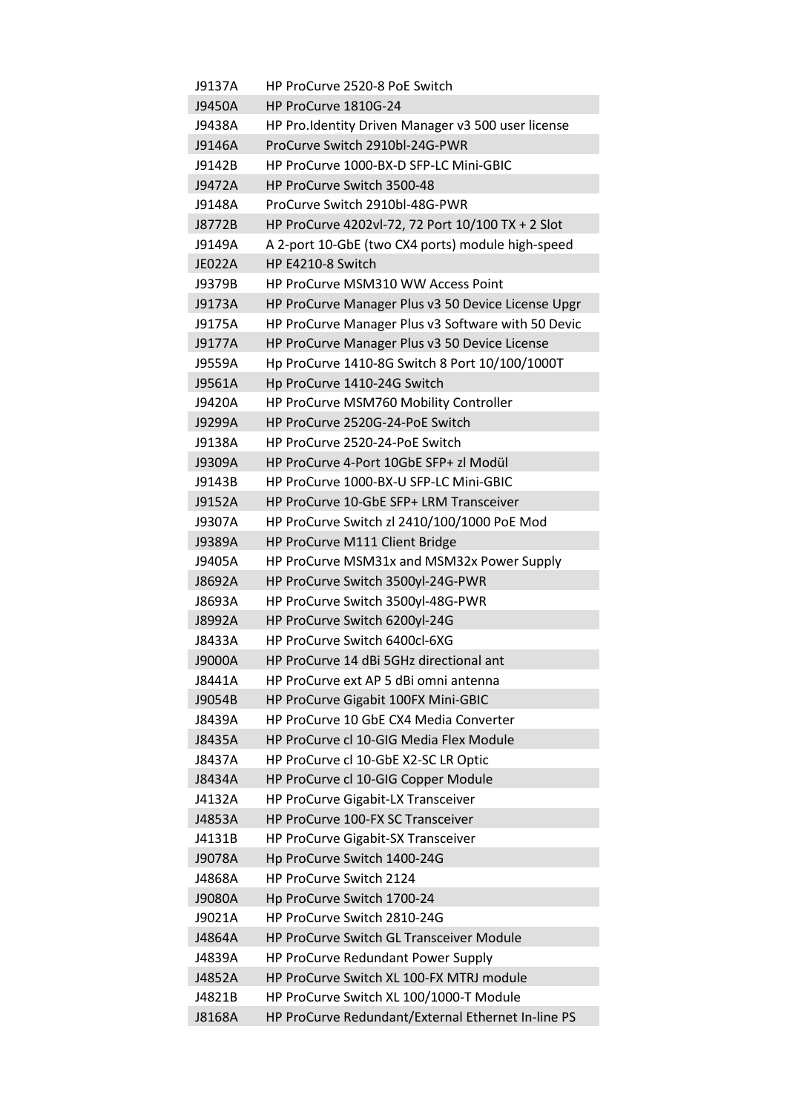| J9137A        | HP ProCurve 2520-8 PoE Switch                      |
|---------------|----------------------------------------------------|
| J9450A        | HP ProCurve 1810G-24                               |
| J9438A        | HP Pro.Identity Driven Manager v3 500 user license |
| J9146A        | ProCurve Switch 2910bl-24G-PWR                     |
| J9142B        | HP ProCurve 1000-BX-D SFP-LC Mini-GBIC             |
| J9472A        | HP ProCurve Switch 3500-48                         |
| J9148A        | ProCurve Switch 2910bl-48G-PWR                     |
| J8772B        | HP ProCurve 4202vl-72, 72 Port 10/100 TX + 2 Slot  |
| J9149A        | A 2-port 10-GbE (two CX4 ports) module high-speed  |
| <b>JE022A</b> | HP E4210-8 Switch                                  |
| J9379B        | HP ProCurve MSM310 WW Access Point                 |
| J9173A        | HP ProCurve Manager Plus v3 50 Device License Upgr |
| J9175A        | HP ProCurve Manager Plus v3 Software with 50 Devic |
| J9177A        | HP ProCurve Manager Plus v3 50 Device License      |
| J9559A        | Hp ProCurve 1410-8G Switch 8 Port 10/100/1000T     |
|               |                                                    |
| J9561A        | Hp ProCurve 1410-24G Switch                        |
| J9420A        | HP ProCurve MSM760 Mobility Controller             |
| J9299A        | HP ProCurve 2520G-24-PoE Switch                    |
| J9138A        | HP ProCurve 2520-24-PoE Switch                     |
| J9309A        | HP ProCurve 4-Port 10GbE SFP+ zl Modül             |
| J9143B        | HP ProCurve 1000-BX-U SFP-LC Mini-GBIC             |
| J9152A        | HP ProCurve 10-GbE SFP+ LRM Transceiver            |
| J9307A        | HP ProCurve Switch zl 2410/100/1000 PoE Mod        |
| J9389A        | HP ProCurve M111 Client Bridge                     |
| J9405A        | HP ProCurve MSM31x and MSM32x Power Supply         |
| J8692A        | HP ProCurve Switch 3500yl-24G-PWR                  |
| J8693A        | HP ProCurve Switch 3500yl-48G-PWR                  |
| J8992A        | HP ProCurve Switch 6200yl-24G                      |
| J8433A        | HP ProCurve Switch 6400cl-6XG                      |
| J9000A        | HP ProCurve 14 dBi 5GHz directional ant            |
| J8441A        | HP ProCurve ext AP 5 dBi omni antenna              |
| J9054B        | HP ProCurve Gigabit 100FX Mini-GBIC                |
| J8439A        | HP ProCurve 10 GbE CX4 Media Converter             |
| J8435A        | HP ProCurve cl 10-GIG Media Flex Module            |
| J8437A        | HP ProCurve cl 10-GbE X2-SC LR Optic               |
| J8434A        | HP ProCurve cl 10-GIG Copper Module                |
| J4132A        | HP ProCurve Gigabit-LX Transceiver                 |
| J4853A        | HP ProCurve 100-FX SC Transceiver                  |
| J4131B        | HP ProCurve Gigabit-SX Transceiver                 |
| J9078A        | Hp ProCurve Switch 1400-24G                        |
| J4868A        | HP ProCurve Switch 2124                            |
| J9080A        | Hp ProCurve Switch 1700-24                         |
| J9021A        | HP ProCurve Switch 2810-24G                        |
| J4864A        | HP ProCurve Switch GL Transceiver Module           |
| J4839A        | HP ProCurve Redundant Power Supply                 |
| J4852A        | HP ProCurve Switch XL 100-FX MTRJ module           |
| J4821B        | HP ProCurve Switch XL 100/1000-T Module            |
| J8168A        | HP ProCurve Redundant/External Ethernet In-line PS |
|               |                                                    |

Ī